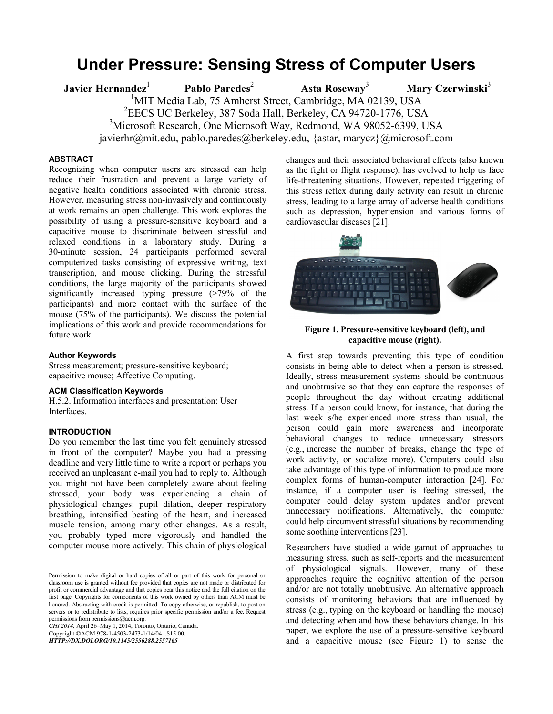# **Under Pressure: Sensing Stress of Computer Users**

**Javier Hernandez**<sup>1</sup> **Pablo Paredes**<sup>2</sup>  **Asta Roseway**<sup>3</sup> **Mary Czerwinski**<sup>3</sup> <sup>1</sup>MIT Media Lab, 75 Amherst Street, Cambridge, MA 02139, USA 2 EECS UC Berkeley, 387 Soda Hall, Berkeley, CA 94720-1776, USA <sup>3</sup>Microsoft Research, One Microsoft Way, Redmond, WA 98052-6399, USA javierhr@mit.edu, pablo.paredes@berkeley.edu, {astar, marycz}@microsoft.com

## **ABSTRACT**

Recognizing when computer users are stressed can help reduce their frustration and prevent a large variety of negative health conditions associated with chronic stress. However, measuring stress non-invasively and continuously at work remains an open challenge. This work explores the possibility of using a pressure-sensitive keyboard and a capacitive mouse to discriminate between stressful and relaxed conditions in a laboratory study. During a 30-minute session, 24 participants performed several computerized tasks consisting of expressive writing, text transcription, and mouse clicking. During the stressful conditions, the large majority of the participants showed significantly increased typing pressure (>79% of the participants) and more contact with the surface of the mouse (75% of the participants). We discuss the potential implications of this work and provide recommendations for future work.

#### **Author Keywords**

Stress measurement; pressure-sensitive keyboard; capacitive mouse; Affective Computing.

#### **ACM Classification Keywords**

H.5.2. Information interfaces and presentation: User Interfaces.

# **INTRODUCTION**

Do you remember the last time you felt genuinely stressed in front of the computer? Maybe you had a pressing deadline and very little time to write a report or perhaps you received an unpleasant e-mail you had to reply to. Although you might not have been completely aware about feeling stressed, your body was experiencing a chain of physiological changes: pupil dilation, deeper respiratory breathing, intensified beating of the heart, and increased muscle tension, among many other changes. As a result, you probably typed more vigorously and handled the computer mouse more actively. This chain of physiological

*CHI 2014,* April 26–May 1, 2014, Toronto, Ontario, Canada. Copyright ©ACM 978-1-4503-2473-1/14/04...\$15.00. *HTTP://DX.DOI.ORG/10.1145/2556288.2557165*

changes and their associated behavioral effects (also known as the fight or flight response), has evolved to help us face life-threatening situations. However, repeated triggering of this stress reflex during daily activity can result in chronic stress, leading to a large array of adverse health conditions such as depression, hypertension and various forms of cardiovascular diseases [21].



# **Figure 1. Pressure-sensitive keyboard (left), and capacitive mouse (right).**

A first step towards preventing this type of condition consists in being able to detect when a person is stressed. Ideally, stress measurement systems should be continuous and unobtrusive so that they can capture the responses of people throughout the day without creating additional stress. If a person could know, for instance, that during the last week s/he experienced more stress than usual, the person could gain more awareness and incorporate behavioral changes to reduce unnecessary stressors (e.g., increase the number of breaks, change the type of work activity, or socialize more). Computers could also take advantage of this type of information to produce more complex forms of human-computer interaction [24]. For instance, if a computer user is feeling stressed, the computer could delay system updates and/or prevent unnecessary notifications. Alternatively, the computer could help circumvent stressful situations by recommending some soothing interventions [23].

Researchers have studied a wide gamut of approaches to measuring stress, such as self-reports and the measurement of physiological signals. However, many of these approaches require the cognitive attention of the person and/or are not totally unobtrusive. An alternative approach consists of monitoring behaviors that are influenced by stress (e.g., typing on the keyboard or handling the mouse) and detecting when and how these behaviors change. In this paper, we explore the use of a pressure-sensitive keyboard and a capacitive mouse (see Figure 1) to sense the

Permission to make digital or hard copies of all or part of this work for personal or classroom use is granted without fee provided that copies are not made or distributed for profit or commercial advantage and that copies bear this notice and the full citation on the first page. Copyrights for components of this work owned by others than ACM must be honored. Abstracting with credit is permitted. To copy otherwise, or republish, to post on servers or to redistribute to lists, requires prior specific permission and/or a fee. Request permissions from permissions@acm.org.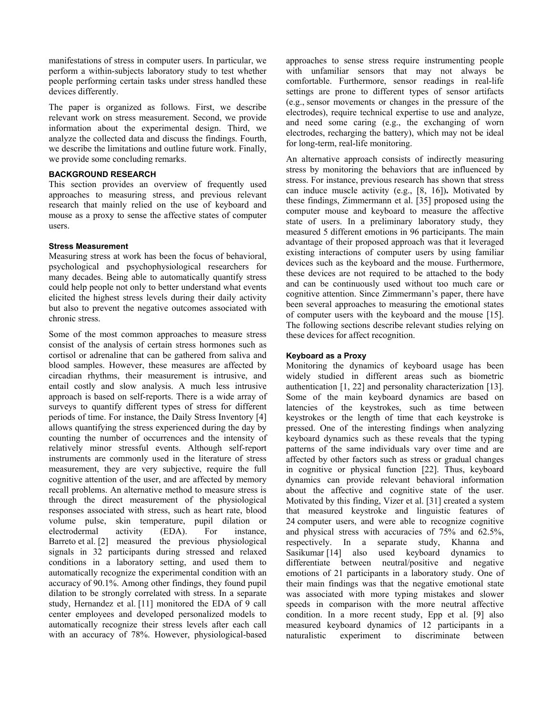manifestations of stress in computer users. In particular, we perform a within-subjects laboratory study to test whether people performing certain tasks under stress handled these devices differently.

The paper is organized as follows. First, we describe relevant work on stress measurement. Second, we provide information about the experimental design. Third, we analyze the collected data and discuss the findings. Fourth, we describe the limitations and outline future work. Finally, we provide some concluding remarks.

# **BACKGROUND RESEARCH**

This section provides an overview of frequently used approaches to measuring stress, and previous relevant research that mainly relied on the use of keyboard and mouse as a proxy to sense the affective states of computer users.

# **Stress Measurement**

Measuring stress at work has been the focus of behavioral, psychological and psychophysiological researchers for many decades. Being able to automatically quantify stress could help people not only to better understand what events elicited the highest stress levels during their daily activity but also to prevent the negative outcomes associated with chronic stress.

Some of the most common approaches to measure stress consist of the analysis of certain stress hormones such as cortisol or adrenaline that can be gathered from saliva and blood samples. However, these measures are affected by circadian rhythms, their measurement is intrusive, and entail costly and slow analysis. A much less intrusive approach is based on self-reports. There is a wide array of surveys to quantify different types of stress for different periods of time. For instance, the Daily Stress Inventory [4] allows quantifying the stress experienced during the day by counting the number of occurrences and the intensity of relatively minor stressful events. Although self-report instruments are commonly used in the literature of stress measurement, they are very subjective, require the full cognitive attention of the user, and are affected by memory recall problems. An alternative method to measure stress is through the direct measurement of the physiological responses associated with stress, such as heart rate, blood volume pulse, skin temperature, pupil dilation or electrodermal activity (EDA). For instance, Barreto et al. [2] measured the previous physiological signals in 32 participants during stressed and relaxed conditions in a laboratory setting, and used them to automatically recognize the experimental condition with an accuracy of 90.1%. Among other findings, they found pupil dilation to be strongly correlated with stress. In a separate study, Hernandez et al. [11] monitored the EDA of 9 call center employees and developed personalized models to automatically recognize their stress levels after each call with an accuracy of 78%. However, physiological-based approaches to sense stress require instrumenting people with unfamiliar sensors that may not always be comfortable. Furthermore, sensor readings in real-life settings are prone to different types of sensor artifacts (e.g., sensor movements or changes in the pressure of the electrodes), require technical expertise to use and analyze, and need some caring (e.g., the exchanging of worn electrodes, recharging the battery), which may not be ideal for long-term, real-life monitoring.

An alternative approach consists of indirectly measuring stress by monitoring the behaviors that are influenced by stress. For instance, previous research has shown that stress can induce muscle activity (e.g., [8, 16])**.** Motivated by these findings, Zimmermann et al. [35] proposed using the computer mouse and keyboard to measure the affective state of users. In a preliminary laboratory study, they measured 5 different emotions in 96 participants. The main advantage of their proposed approach was that it leveraged existing interactions of computer users by using familiar devices such as the keyboard and the mouse. Furthermore, these devices are not required to be attached to the body and can be continuously used without too much care or cognitive attention. Since Zimmermann's paper, there have been several approaches to measuring the emotional states of computer users with the keyboard and the mouse [15]. The following sections describe relevant studies relying on these devices for affect recognition.

# **Keyboard as a Proxy**

Monitoring the dynamics of keyboard usage has been widely studied in different areas such as biometric authentication [1, 22] and personality characterization [13]. Some of the main keyboard dynamics are based on latencies of the keystrokes, such as time between keystrokes or the length of time that each keystroke is pressed. One of the interesting findings when analyzing keyboard dynamics such as these reveals that the typing patterns of the same individuals vary over time and are affected by other factors such as stress or gradual changes in cognitive or physical function [22]. Thus, keyboard dynamics can provide relevant behavioral information about the affective and cognitive state of the user. Motivated by this finding, Vizer et al. [31] created a system that measured keystroke and linguistic features of 24 computer users, and were able to recognize cognitive and physical stress with accuracies of 75% and 62.5%, respectively. In a separate study, Khanna and Sasikumar [14] also used keyboard dynamics to differentiate between neutral/positive and negative emotions of 21 participants in a laboratory study. One of their main findings was that the negative emotional state was associated with more typing mistakes and slower speeds in comparison with the more neutral affective condition. In a more recent study, Epp et al. [9] also measured keyboard dynamics of 12 participants in a naturalistic experiment to discriminate between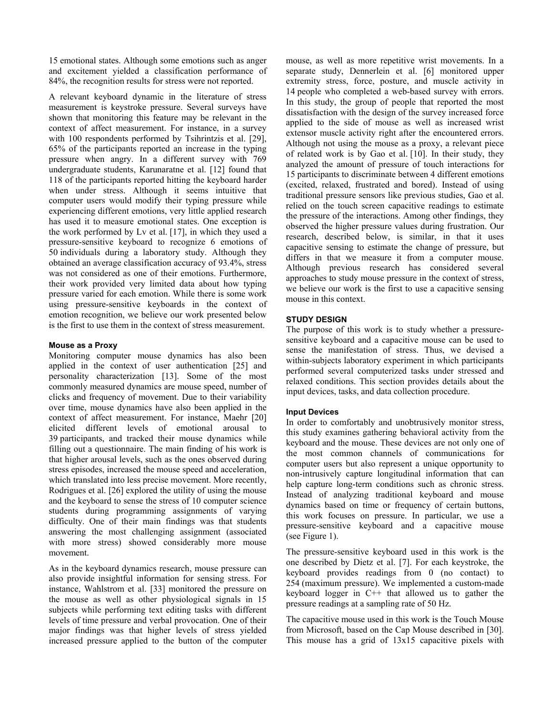15 emotional states. Although some emotions such as anger and excitement yielded a classification performance of 84%, the recognition results for stress were not reported.

A relevant keyboard dynamic in the literature of stress measurement is keystroke pressure. Several surveys have shown that monitoring this feature may be relevant in the context of affect measurement. For instance, in a survey with 100 respondents performed by Tsihrintzis et al. [29], 65% of the participants reported an increase in the typing pressure when angry. In a different survey with 769 undergraduate students, Karunaratne et al. [12] found that 118 of the participants reported hitting the keyboard harder when under stress. Although it seems intuitive that computer users would modify their typing pressure while experiencing different emotions, very little applied research has used it to measure emotional states. One exception is the work performed by Lv et al. [17], in which they used a pressure-sensitive keyboard to recognize 6 emotions of 50 individuals during a laboratory study. Although they obtained an average classification accuracy of 93.4%, stress was not considered as one of their emotions. Furthermore, their work provided very limited data about how typing pressure varied for each emotion. While there is some work using pressure-sensitive keyboards in the context of emotion recognition, we believe our work presented below is the first to use them in the context of stress measurement.

#### **Mouse as a Proxy**

Monitoring computer mouse dynamics has also been applied in the context of user authentication [25] and personality characterization [13]. Some of the most commonly measured dynamics are mouse speed, number of clicks and frequency of movement. Due to their variability over time, mouse dynamics have also been applied in the context of affect measurement. For instance, Maehr [20] elicited different levels of emotional arousal to 39 participants, and tracked their mouse dynamics while filling out a questionnaire. The main finding of his work is that higher arousal levels, such as the ones observed during stress episodes, increased the mouse speed and acceleration, which translated into less precise movement. More recently, Rodrigues et al. [26] explored the utility of using the mouse and the keyboard to sense the stress of 10 computer science students during programming assignments of varying difficulty. One of their main findings was that students answering the most challenging assignment (associated with more stress) showed considerably more mouse movement.

As in the keyboard dynamics research, mouse pressure can also provide insightful information for sensing stress. For instance, Wahlstrom et al. [33] monitored the pressure on the mouse as well as other physiological signals in 15 subjects while performing text editing tasks with different levels of time pressure and verbal provocation. One of their major findings was that higher levels of stress yielded increased pressure applied to the button of the computer mouse, as well as more repetitive wrist movements. In a separate study, Dennerlein et al. [6] monitored upper extremity stress, force, posture, and muscle activity in 14 people who completed a web-based survey with errors. In this study, the group of people that reported the most dissatisfaction with the design of the survey increased force applied to the side of mouse as well as increased wrist extensor muscle activity right after the encountered errors. Although not using the mouse as a proxy, a relevant piece of related work is by Gao et al. [10]. In their study, they analyzed the amount of pressure of touch interactions for 15 participants to discriminate between 4 different emotions (excited, relaxed, frustrated and bored). Instead of using traditional pressure sensors like previous studies, Gao et al. relied on the touch screen capacitive readings to estimate the pressure of the interactions. Among other findings, they observed the higher pressure values during frustration. Our research, described below, is similar, in that it uses capacitive sensing to estimate the change of pressure, but differs in that we measure it from a computer mouse. Although previous research has considered several approaches to study mouse pressure in the context of stress, we believe our work is the first to use a capacitive sensing mouse in this context.

## **STUDY DESIGN**

The purpose of this work is to study whether a pressuresensitive keyboard and a capacitive mouse can be used to sense the manifestation of stress. Thus, we devised a within-subjects laboratory experiment in which participants performed several computerized tasks under stressed and relaxed conditions. This section provides details about the input devices, tasks, and data collection procedure.

# **Input Devices**

In order to comfortably and unobtrusively monitor stress, this study examines gathering behavioral activity from the keyboard and the mouse. These devices are not only one of the most common channels of communications for computer users but also represent a unique opportunity to non-intrusively capture longitudinal information that can help capture long-term conditions such as chronic stress. Instead of analyzing traditional keyboard and mouse dynamics based on time or frequency of certain buttons, this work focuses on pressure. In particular, we use a pressure-sensitive keyboard and a capacitive mouse (see Figure 1).

The pressure-sensitive keyboard used in this work is the one described by Dietz et al. [7]. For each keystroke, the keyboard provides readings from 0 (no contact) to 254 (maximum pressure). We implemented a custom-made keyboard logger in C++ that allowed us to gather the pressure readings at a sampling rate of 50 Hz.

The capacitive mouse used in this work is the Touch Mouse from Microsoft, based on the Cap Mouse described in [30]. This mouse has a grid of 13x15 capacitive pixels with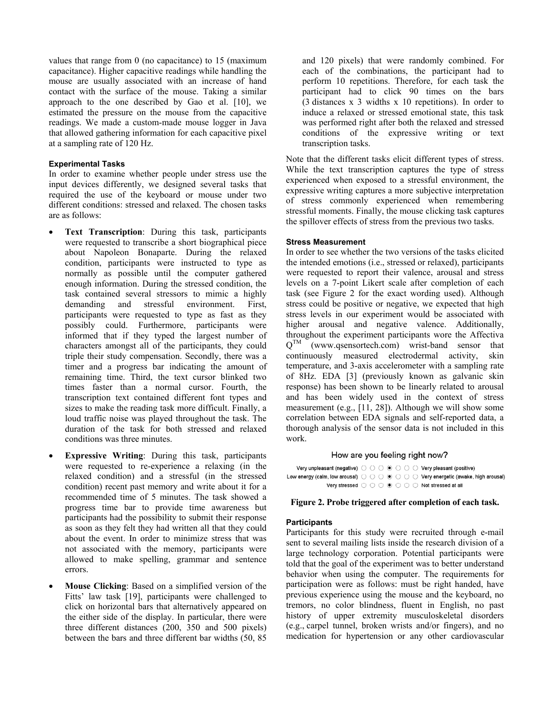values that range from 0 (no capacitance) to 15 (maximum capacitance). Higher capacitive readings while handling the mouse are usually associated with an increase of hand contact with the surface of the mouse. Taking a similar approach to the one described by Gao et al. [10], we estimated the pressure on the mouse from the capacitive readings. We made a custom-made mouse logger in Java that allowed gathering information for each capacitive pixel at a sampling rate of 120 Hz.

# **Experimental Tasks**

In order to examine whether people under stress use the input devices differently, we designed several tasks that required the use of the keyboard or mouse under two different conditions: stressed and relaxed. The chosen tasks are as follows:

- **Text Transcription**: During this task, participants were requested to transcribe a short biographical piece about Napoleon Bonaparte. During the relaxed condition, participants were instructed to type as normally as possible until the computer gathered enough information. During the stressed condition, the task contained several stressors to mimic a highly demanding and stressful environment. First, participants were requested to type as fast as they possibly could. Furthermore, participants were informed that if they typed the largest number of characters amongst all of the participants, they could triple their study compensation. Secondly, there was a timer and a progress bar indicating the amount of remaining time. Third, the text cursor blinked two times faster than a normal cursor. Fourth, the transcription text contained different font types and sizes to make the reading task more difficult. Finally, a loud traffic noise was played throughout the task. The duration of the task for both stressed and relaxed conditions was three minutes.
- **Expressive Writing**: During this task, participants were requested to re-experience a relaxing (in the relaxed condition) and a stressful (in the stressed condition) recent past memory and write about it for a recommended time of 5 minutes. The task showed a progress time bar to provide time awareness but participants had the possibility to submit their response as soon as they felt they had written all that they could about the event. In order to minimize stress that was not associated with the memory, participants were allowed to make spelling, grammar and sentence errors.
- **Mouse Clicking**: Based on a simplified version of the Fitts' law task [19], participants were challenged to click on horizontal bars that alternatively appeared on the either side of the display. In particular, there were three different distances (200, 350 and 500 pixels) between the bars and three different bar widths (50, 85

and 120 pixels) that were randomly combined. For each of the combinations, the participant had to perform 10 repetitions. Therefore, for each task the participant had to click 90 times on the bars (3 distances x 3 widths x 10 repetitions). In order to induce a relaxed or stressed emotional state, this task was performed right after both the relaxed and stressed conditions of the expressive writing or text transcription tasks.

Note that the different tasks elicit different types of stress. While the text transcription captures the type of stress experienced when exposed to a stressful environment, the expressive writing captures a more subjective interpretation of stress commonly experienced when remembering stressful moments. Finally, the mouse clicking task captures the spillover effects of stress from the previous two tasks.

## **Stress Measurement**

In order to see whether the two versions of the tasks elicited the intended emotions (i.e., stressed or relaxed), participants were requested to report their valence, arousal and stress levels on a 7-point Likert scale after completion of each task (see Figure 2 for the exact wording used). Although stress could be positive or negative, we expected that high stress levels in our experiment would be associated with higher arousal and negative valence. Additionally, throughout the experiment participants wore the Affectiva  $Q^{TM}$  (www.qsensortech.com) wrist-band sensor that continuously measured electrodermal activity, skin temperature, and 3-axis accelerometer with a sampling rate of 8Hz. EDA [3] (previously known as galvanic skin response) has been shown to be linearly related to arousal and has been widely used in the context of stress measurement (e.g., [11, 28]). Although we will show some correlation between EDA signals and self-reported data, a thorough analysis of the sensor data is not included in this work.

## How are you feeling right now?

Very unpleasant (negative)  $\bigcirc$   $\bigcirc$   $\bigcirc$   $\circ$   $\bigcirc$   $\bigcirc$   $\bigcirc$  Very pleasant (positive) Low energy (calm, low arousal)  $\bigcirc \circ \bigcirc \circ \circ \bigcirc \circ \bigcirc$  Very energetic (awake, high arousal) Very stressed  $\bigcirc$   $\bigcirc$   $\bigcirc$   $\circ$   $\bigcirc$   $\bigcirc$   $\bigcirc$   $\bigcirc$  Not stressed at all

# **Figure 2. Probe triggered after completion of each task.**

# **Participants**

Participants for this study were recruited through e-mail sent to several mailing lists inside the research division of a large technology corporation. Potential participants were told that the goal of the experiment was to better understand behavior when using the computer. The requirements for participation were as follows: must be right handed, have previous experience using the mouse and the keyboard, no tremors, no color blindness, fluent in English, no past history of upper extremity musculoskeletal disorders (e.g., carpel tunnel, broken wrists and/or fingers), and no medication for hypertension or any other cardiovascular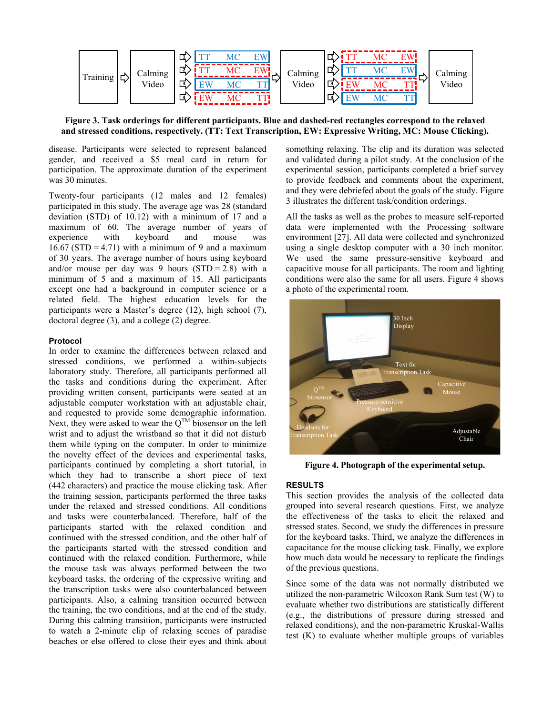

**Figure 3. Task orderings for different participants. Blue and dashed-red rectangles correspond to the relaxed and stressed conditions, respectively. (TT: Text Transcription, EW: Expressive Writing, MC: Mouse Clicking).** 

disease. Participants were selected to represent balanced gender, and received a \$5 meal card in return for participation. The approximate duration of the experiment was 30 minutes.

Twenty-four participants (12 males and 12 females) participated in this study. The average age was 28 (standard deviation (STD) of 10.12) with a minimum of 17 and a maximum of 60. The average number of years of experience with keyboard and mouse was  $16.67$  (STD = 4.71) with a minimum of 9 and a maximum of 30 years. The average number of hours using keyboard and/or mouse per day was 9 hours  $(STD = 2.8)$  with a minimum of 5 and a maximum of 15. All participants except one had a background in computer science or a related field. The highest education levels for the participants were a Master's degree (12), high school (7), doctoral degree (3), and a college (2) degree.

#### **Protocol**

In order to examine the differences between relaxed and stressed conditions, we performed a within-subjects laboratory study. Therefore, all participants performed all the tasks and conditions during the experiment. After providing written consent, participants were seated at an adjustable computer workstation with an adjustable chair, and requested to provide some demographic information. Next, they were asked to wear the  $Q^{TM}$  biosensor on the left wrist and to adjust the wristband so that it did not disturb them while typing on the computer. In order to minimize the novelty effect of the devices and experimental tasks, participants continued by completing a short tutorial, in which they had to transcribe a short piece of text (442 characters) and practice the mouse clicking task. After the training session, participants performed the three tasks under the relaxed and stressed conditions. All conditions and tasks were counterbalanced. Therefore, half of the participants started with the relaxed condition and continued with the stressed condition, and the other half of the participants started with the stressed condition and continued with the relaxed condition. Furthermore, while the mouse task was always performed between the two keyboard tasks, the ordering of the expressive writing and the transcription tasks were also counterbalanced between participants. Also, a calming transition occurred between the training, the two conditions, and at the end of the study. During this calming transition, participants were instructed to watch a 2-minute clip of relaxing scenes of paradise beaches or else offered to close their eyes and think about

something relaxing. The clip and its duration was selected and validated during a pilot study. At the conclusion of the experimental session, participants completed a brief survey to provide feedback and comments about the experiment, and they were debriefed about the goals of the study. Figure 3 illustrates the different task/condition orderings.

All the tasks as well as the probes to measure self-reported data were implemented with the Processing software environment [27]. All data were collected and synchronized using a single desktop computer with a 30 inch monitor. We used the same pressure-sensitive keyboard and capacitive mouse for all participants. The room and lighting conditions were also the same for all users. Figure 4 shows a photo of the experimental room.



**Figure 4. Photograph of the experimental setup.**

## **RESULTS**

This section provides the analysis of the collected data grouped into several research questions. First, we analyze the effectiveness of the tasks to elicit the relaxed and stressed states. Second, we study the differences in pressure for the keyboard tasks. Third, we analyze the differences in capacitance for the mouse clicking task. Finally, we explore how much data would be necessary to replicate the findings of the previous questions.

Since some of the data was not normally distributed we utilized the non-parametric Wilcoxon Rank Sum test (W) to evaluate whether two distributions are statistically different (e.g., the distributions of pressure during stressed and relaxed conditions), and the non-parametric Kruskal-Wallis test (K) to evaluate whether multiple groups of variables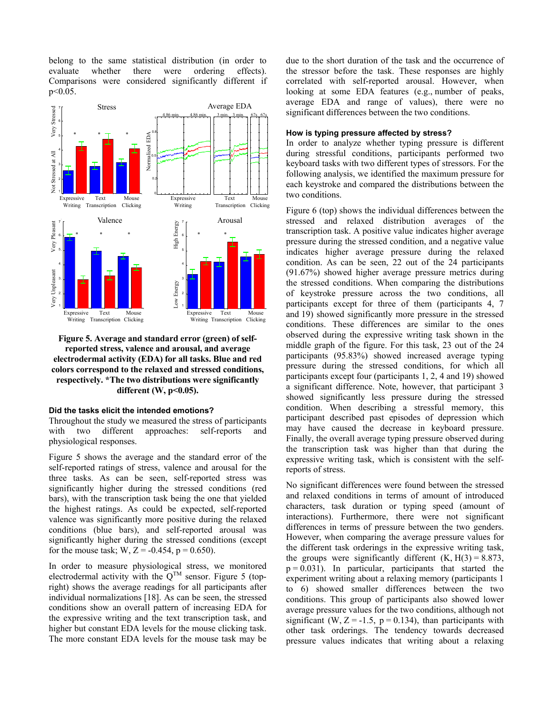belong to the same statistical distribution (in order to evaluate whether there were ordering effects). Comparisons were considered significantly different if p<0.05.



# **Figure 5. Average and standard error (green) of selfreported stress, valence and arousal, and average electrodermal activity (EDA) for all tasks. Blue and red colors correspond to the relaxed and stressed conditions, respectively. \*The two distributions were significantly different (W, p<0.05).**

# **Did the tasks elicit the intended emotions?**

Throughout the study we measured the stress of participants with two different approaches: self-reports and physiological responses.

Figure 5 shows the average and the standard error of the self-reported ratings of stress, valence and arousal for the three tasks. As can be seen, self-reported stress was significantly higher during the stressed conditions (red bars), with the transcription task being the one that yielded the highest ratings. As could be expected, self-reported valence was significantly more positive during the relaxed conditions (blue bars), and self-reported arousal was significantly higher during the stressed conditions (except for the mouse task; W,  $Z = -0.454$ ,  $p = 0.650$ ).

In order to measure physiological stress, we monitored electrodermal activity with the  $Q^{TM}$  sensor. Figure 5 (topright) shows the average readings for all participants after individual normalizations [18]. As can be seen, the stressed conditions show an overall pattern of increasing EDA for the expressive writing and the text transcription task, and higher but constant EDA levels for the mouse clicking task. The more constant EDA levels for the mouse task may be due to the short duration of the task and the occurrence of the stressor before the task. These responses are highly correlated with self-reported arousal. However, when looking at some EDA features (e.g., number of peaks, average EDA and range of values), there were no significant differences between the two conditions.

# **How is typing pressure affected by stress?**

In order to analyze whether typing pressure is different during stressful conditions, participants performed two keyboard tasks with two different types of stressors. For the following analysis, we identified the maximum pressure for each keystroke and compared the distributions between the two conditions.

Figure 6 (top) shows the individual differences between the stressed and relaxed distribution averages of the transcription task. A positive value indicates higher average pressure during the stressed condition, and a negative value indicates higher average pressure during the relaxed condition. As can be seen, 22 out of the 24 participants (91.67%) showed higher average pressure metrics during the stressed conditions. When comparing the distributions of keystroke pressure across the two conditions, all participants except for three of them (participants 4, 7 and 19) showed significantly more pressure in the stressed conditions. These differences are similar to the ones observed during the expressive writing task shown in the middle graph of the figure. For this task, 23 out of the 24 participants (95.83%) showed increased average typing pressure during the stressed conditions, for which all participants except four (participants 1, 2, 4 and 19) showed a significant difference. Note, however, that participant 3 showed significantly less pressure during the stressed condition. When describing a stressful memory, this participant described past episodes of depression which may have caused the decrease in keyboard pressure. Finally, the overall average typing pressure observed during the transcription task was higher than that during the expressive writing task, which is consistent with the selfreports of stress.

No significant differences were found between the stressed and relaxed conditions in terms of amount of introduced characters, task duration or typing speed (amount of interactions). Furthermore, there were not significant differences in terms of pressure between the two genders. However, when comparing the average pressure values for the different task orderings in the expressive writing task, the groups were significantly different  $(K, H(3) = 8.873,$  $p = 0.031$ ). In particular, participants that started the experiment writing about a relaxing memory (participants 1 to 6) showed smaller differences between the two conditions. This group of participants also showed lower average pressure values for the two conditions, although not significant (W,  $Z = -1.5$ ,  $p = 0.134$ ), than participants with other task orderings. The tendency towards decreased pressure values indicates that writing about a relaxing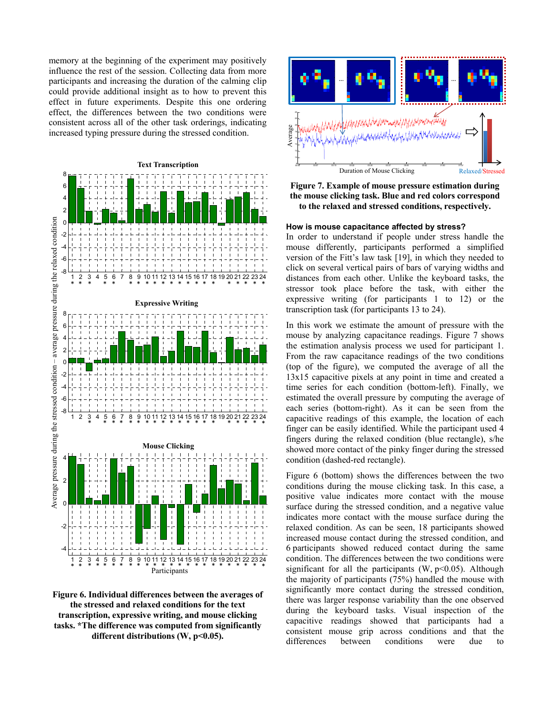memory at the beginning of the experiment may positively influence the rest of the session. Collecting data from more participants and increasing the duration of the calming clip could provide additional insight as to how to prevent this effect in future experiments. Despite this one ordering effect, the differences between the two conditions were consistent across all of the other task orderings, indicating increased typing pressure during the stressed condition.



**Figure 6. Individual differences between the averages of the stressed and relaxed conditions for the text transcription, expressive writing, and mouse clicking tasks. \*The difference was computed from significantly**  different distributions (W, p<0.05).



**Figure 7. Example of mouse pressure estimation during the mouse clicking task. Blue and red colors correspond to the relaxed and stressed conditions, respectively.**

#### **How is mouse capacitance affected by stress?**

In order to understand if people under stress handle the mouse differently, participants performed a simplified version of the Fitt's law task [19], in which they needed to click on several vertical pairs of bars of varying widths and distances from each other. Unlike the keyboard tasks, the stressor took place before the task, with either the expressive writing (for participants 1 to 12) or the transcription task (for participants 13 to 24).

In this work we estimate the amount of pressure with the mouse by analyzing capacitance readings. Figure 7 shows the estimation analysis process we used for participant 1. From the raw capacitance readings of the two conditions (top of the figure), we computed the average of all the 13x15 capacitive pixels at any point in time and created a time series for each condition (bottom-left). Finally, we estimated the overall pressure by computing the average of each series (bottom-right). As it can be seen from the capacitive readings of this example, the location of each finger can be easily identified. While the participant used 4 fingers during the relaxed condition (blue rectangle), s/he showed more contact of the pinky finger during the stressed condition (dashed-red rectangle).

Figure 6 (bottom) shows the differences between the two conditions during the mouse clicking task. In this case, a positive value indicates more contact with the mouse surface during the stressed condition, and a negative value indicates more contact with the mouse surface during the relaxed condition. As can be seen, 18 participants showed increased mouse contact during the stressed condition, and 6 participants showed reduced contact during the same condition. The differences between the two conditions were significant for all the participants  $(W, p<0.05)$ . Although the majority of participants (75%) handled the mouse with significantly more contact during the stressed condition, there was larger response variability than the one observed during the keyboard tasks. Visual inspection of the capacitive readings showed that participants had a consistent mouse grip across conditions and that the differences between conditions were due to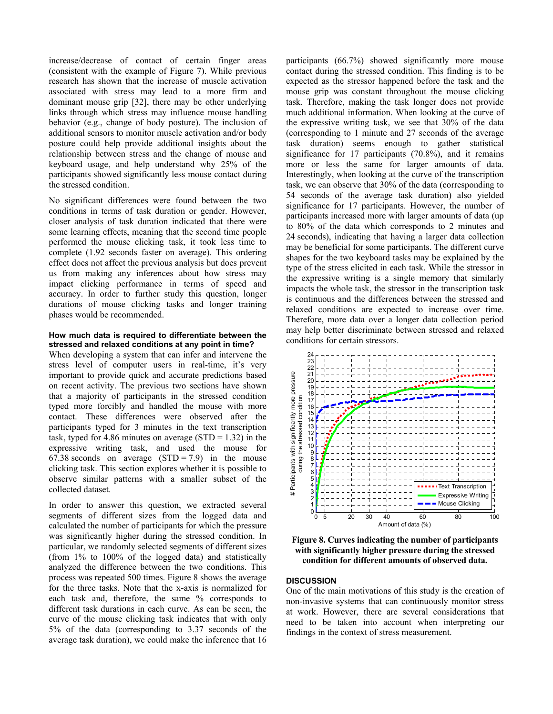increase/decrease of contact of certain finger areas (consistent with the example of Figure 7). While previous research has shown that the increase of muscle activation associated with stress may lead to a more firm and dominant mouse grip [32], there may be other underlying links through which stress may influence mouse handling behavior (e.g., change of body posture). The inclusion of additional sensors to monitor muscle activation and/or body posture could help provide additional insights about the relationship between stress and the change of mouse and keyboard usage, and help understand why 25% of the participants showed significantly less mouse contact during the stressed condition.

No significant differences were found between the two conditions in terms of task duration or gender. However, closer analysis of task duration indicated that there were some learning effects, meaning that the second time people performed the mouse clicking task, it took less time to complete (1.92 seconds faster on average). This ordering effect does not affect the previous analysis but does prevent us from making any inferences about how stress may impact clicking performance in terms of speed and accuracy. In order to further study this question, longer durations of mouse clicking tasks and longer training phases would be recommended.

#### **How much data is required to differentiate between the stressed and relaxed conditions at any point in time?**

When developing a system that can infer and intervene the stress level of computer users in real-time, it's very important to provide quick and accurate predictions based on recent activity. The previous two sections have shown that a majority of participants in the stressed condition typed more forcibly and handled the mouse with more contact. These differences were observed after the participants typed for 3 minutes in the text transcription task, typed for 4.86 minutes on average  $(STD = 1.32)$  in the expressive writing task, and used the mouse for 67.38 seconds on average  $(STD = 7.9)$  in the mouse clicking task. This section explores whether it is possible to observe similar patterns with a smaller subset of the collected dataset.

In order to answer this question, we extracted several segments of different sizes from the logged data and calculated the number of participants for which the pressure was significantly higher during the stressed condition. In particular, we randomly selected segments of different sizes (from 1% to 100% of the logged data) and statistically analyzed the difference between the two conditions. This process was repeated 500 times. Figure 8 shows the average for the three tasks. Note that the x-axis is normalized for each task and, therefore, the same % corresponds to different task durations in each curve. As can be seen, the curve of the mouse clicking task indicates that with only 5% of the data (corresponding to 3.37 seconds of the average task duration), we could make the inference that 16

participants (66.7%) showed significantly more mouse contact during the stressed condition. This finding is to be expected as the stressor happened before the task and the mouse grip was constant throughout the mouse clicking task. Therefore, making the task longer does not provide much additional information. When looking at the curve of the expressive writing task, we see that 30% of the data (corresponding to 1 minute and 27 seconds of the average task duration) seems enough to gather statistical significance for 17 participants (70.8%), and it remains more or less the same for larger amounts of data. Interestingly, when looking at the curve of the transcription task, we can observe that 30% of the data (corresponding to 54 seconds of the average task duration) also yielded significance for 17 participants. However, the number of participants increased more with larger amounts of data (up to 80% of the data which corresponds to 2 minutes and 24 seconds), indicating that having a larger data collection may be beneficial for some participants. The different curve shapes for the two keyboard tasks may be explained by the type of the stress elicited in each task. While the stressor in the expressive writing is a single memory that similarly impacts the whole task, the stressor in the transcription task is continuous and the differences between the stressed and relaxed conditions are expected to increase over time. Therefore, more data over a longer data collection period may help better discriminate between stressed and relaxed conditions for certain stressors.



**Figure 8. Curves indicating the number of participants with significantly higher pressure during the stressed condition for different amounts of observed data.** 

#### **DISCUSSION**

One of the main motivations of this study is the creation of non-invasive systems that can continuously monitor stress at work. However, there are several considerations that need to be taken into account when interpreting our findings in the context of stress measurement.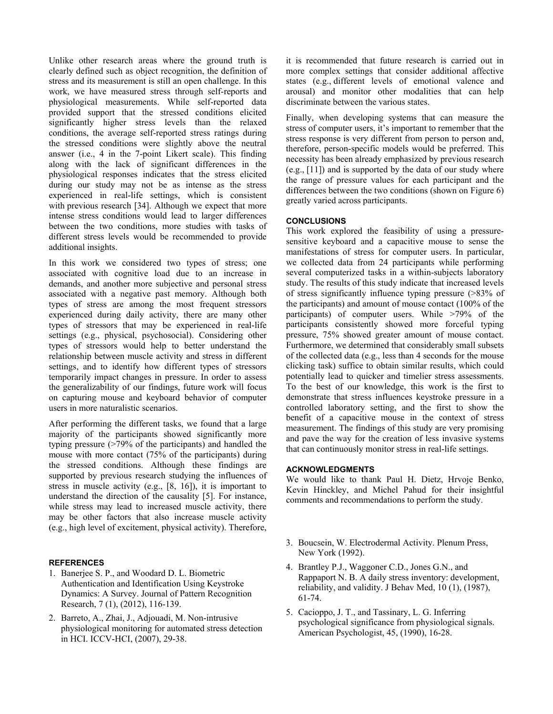Unlike other research areas where the ground truth is clearly defined such as object recognition, the definition of stress and its measurement is still an open challenge. In this work, we have measured stress through self-reports and physiological measurements. While self-reported data provided support that the stressed conditions elicited significantly higher stress levels than the relaxed conditions, the average self-reported stress ratings during the stressed conditions were slightly above the neutral answer (i.e., 4 in the 7-point Likert scale). This finding along with the lack of significant differences in the physiological responses indicates that the stress elicited during our study may not be as intense as the stress experienced in real-life settings, which is consistent with previous research [34]. Although we expect that more intense stress conditions would lead to larger differences between the two conditions, more studies with tasks of different stress levels would be recommended to provide additional insights.

In this work we considered two types of stress; one associated with cognitive load due to an increase in demands, and another more subjective and personal stress associated with a negative past memory. Although both types of stress are among the most frequent stressors experienced during daily activity, there are many other types of stressors that may be experienced in real-life settings (e.g., physical, psychosocial). Considering other types of stressors would help to better understand the relationship between muscle activity and stress in different settings, and to identify how different types of stressors temporarily impact changes in pressure. In order to assess the generalizability of our findings, future work will focus on capturing mouse and keyboard behavior of computer users in more naturalistic scenarios.

After performing the different tasks, we found that a large majority of the participants showed significantly more typing pressure (>79% of the participants) and handled the mouse with more contact (75% of the participants) during the stressed conditions. Although these findings are supported by previous research studying the influences of stress in muscle activity (e.g., [8, 16]), it is important to understand the direction of the causality [5]. For instance, while stress may lead to increased muscle activity, there may be other factors that also increase muscle activity (e.g., high level of excitement, physical activity). Therefore,

## **REFERENCES**

- 1. Banerjee S. P., and Woodard D. L. Biometric Authentication and Identification Using Keystroke Dynamics: A Survey. Journal of Pattern Recognition Research, 7 (1), (2012), 116-139.
- 2. Barreto, A., Zhai, J., Adjouadi, M. Non-intrusive physiological monitoring for automated stress detection in HCI. ICCV-HCI, (2007), 29-38.

it is recommended that future research is carried out in more complex settings that consider additional affective states (e.g., different levels of emotional valence and arousal) and monitor other modalities that can help discriminate between the various states.

Finally, when developing systems that can measure the stress of computer users, it's important to remember that the stress response is very different from person to person and, therefore, person-specific models would be preferred. This necessity has been already emphasized by previous research (e.g., [11]) and is supported by the data of our study where the range of pressure values for each participant and the differences between the two conditions (shown on Figure 6) greatly varied across participants.

## **CONCLUSIONS**

This work explored the feasibility of using a pressuresensitive keyboard and a capacitive mouse to sense the manifestations of stress for computer users. In particular, we collected data from 24 participants while performing several computerized tasks in a within-subjects laboratory study. The results of this study indicate that increased levels of stress significantly influence typing pressure (>83% of the participants) and amount of mouse contact (100% of the participants) of computer users. While >79% of the participants consistently showed more forceful typing pressure, 75% showed greater amount of mouse contact. Furthermore, we determined that considerably small subsets of the collected data (e.g., less than 4 seconds for the mouse clicking task) suffice to obtain similar results, which could potentially lead to quicker and timelier stress assessments. To the best of our knowledge, this work is the first to demonstrate that stress influences keystroke pressure in a controlled laboratory setting, and the first to show the benefit of a capacitive mouse in the context of stress measurement. The findings of this study are very promising and pave the way for the creation of less invasive systems that can continuously monitor stress in real-life settings.

#### **ACKNOWLEDGMENTS**

We would like to thank Paul H. Dietz, Hrvoje Benko, Kevin Hinckley, and Michel Pahud for their insightful comments and recommendations to perform the study.

- 3. Boucsein, W. Electrodermal Activity. Plenum Press, New York (1992).
- 4. Brantley P.J., Waggoner C.D., Jones G.N., and Rappaport N. B. A daily stress inventory: development, reliability, and validity. J Behav Med, 10 (1), (1987), 61-74.
- 5. Cacioppo, J. T., and Tassinary, L. G. Inferring psychological significance from physiological signals. American Psychologist, 45, (1990), 16-28.